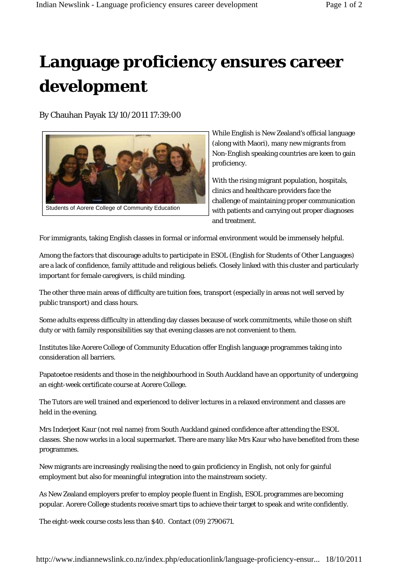## **Language proficiency ensures career development**

By Chauhan Payak 13/10/2011 17:39:00



While English is New Zealand's official language (along with Maori), many new migrants from Non-English speaking countries are keen to gain proficiency.

With the rising migrant population, hospitals, clinics and healthcare providers face the challenge of maintaining proper communication with patients and carrying out proper diagnoses and treatment.

For immigrants, taking English classes in formal or informal environment would be immensely helpful.

Among the factors that discourage adults to participate in ESOL (English for Students of Other Languages) are a lack of confidence, family attitude and religious beliefs. Closely linked with this cluster and particularly important for female caregivers, is child minding.

The other three main areas of difficulty are tuition fees, transport (especially in areas not well served by public transport) and class hours.

Some adults express difficulty in attending day classes because of work commitments, while those on shift duty or with family responsibilities say that evening classes are not convenient to them.

Institutes like Aorere College of Community Education offer English language programmes taking into consideration all barriers.

Papatoetoe residents and those in the neighbourhood in South Auckland have an opportunity of undergoing an eight-week certificate course at Aorere College.

The Tutors are well trained and experienced to deliver lectures in a relaxed environment and classes are held in the evening.

Mrs Inderjeet Kaur (not real name) from South Auckland gained confidence after attending the ESOL classes. She now works in a local supermarket. There are many like Mrs Kaur who have benefited from these programmes.

New migrants are increasingly realising the need to gain proficiency in English, not only for gainful employment but also for meaningful integration into the mainstream society.

As New Zealand employers prefer to employ people fluent in English, ESOL programmes are becoming popular. Aorere College students receive smart tips to achieve their target to speak and write confidently.

The eight-week course costs less than \$40. Contact (09) 2790671.